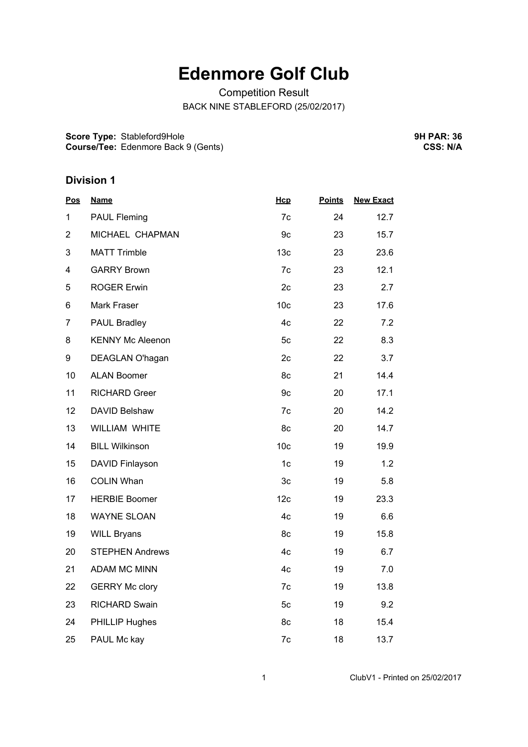# **Edenmore Golf Club**

Competition Result BACK NINE STABLEFORD (25/02/2017)

**Score Type:** Stableford9Hole **Course/Tee:** Edenmore Back 9 (Gents) **9H PAR: 36 CSS: N/A**

## **Division 1**

| <b>Name</b>             | Hcp             | <b>Points</b> | <b>New Exact</b> |
|-------------------------|-----------------|---------------|------------------|
| <b>PAUL Fleming</b>     | 7c              | 24            | 12.7             |
| MICHAEL CHAPMAN         | 9c              | 23            | 15.7             |
| <b>MATT Trimble</b>     | 13 <sub>c</sub> | 23            | 23.6             |
| <b>GARRY Brown</b>      | 7c              | 23            | 12.1             |
| <b>ROGER Erwin</b>      | 2c              | 23            | 2.7              |
| Mark Fraser             | 10 <sub>c</sub> | 23            | 17.6             |
| PAUL Bradley            | 4c              | 22            | 7.2              |
| <b>KENNY Mc Aleenon</b> | 5c              | 22            | 8.3              |
| DEAGLAN O'hagan         | 2c              | 22            | 3.7              |
| <b>ALAN Boomer</b>      | 8c              | 21            | 14.4             |
| <b>RICHARD Greer</b>    | 9c              | 20            | 17.1             |
| DAVID Belshaw           | 7c              | 20            | 14.2             |
| WILLIAM WHITE           | 8c              | 20            | 14.7             |
| <b>BILL Wilkinson</b>   | 10 <sub>c</sub> | 19            | 19.9             |
| DAVID Finlayson         | 1 <sub>c</sub>  | 19            | 1.2              |
| <b>COLIN Whan</b>       | 3c              | 19            | 5.8              |
| <b>HERBIE Boomer</b>    | 12 <sub>c</sub> | 19            | 23.3             |
| <b>WAYNE SLOAN</b>      | 4c              | 19            | 6.6              |
| <b>WILL Bryans</b>      | 8c              | 19            | 15.8             |
| <b>STEPHEN Andrews</b>  | 4c              | 19            | 6.7              |
| <b>ADAM MC MINN</b>     | 4c              | 19            | 7.0              |
| <b>GERRY Mc clory</b>   | 7c              | 19            | 13.8             |
| <b>RICHARD Swain</b>    | 5c              | 19            | 9.2              |
| PHILLIP Hughes          | 8c              | 18            | 15.4             |
| PAUL Mc kay             | 7c              | 18            | 13.7             |
|                         |                 |               |                  |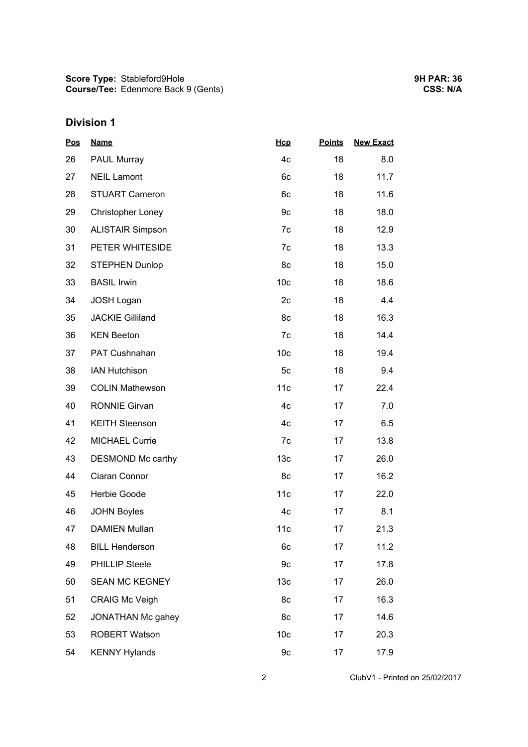## **Division 1**

| <b>Pos</b> | <b>Name</b>              | Hcp             | <b>Points</b> | <b>New Exact</b> |  |
|------------|--------------------------|-----------------|---------------|------------------|--|
| 26         | PAUL Murray              | 4c              | 18            | 8.0              |  |
| 27         | <b>NEIL Lamont</b>       | 6c              | 18            | 11.7             |  |
| 28         | <b>STUART Cameron</b>    | 6c              | 18            | 11.6             |  |
| 29         | <b>Christopher Loney</b> | 9c              | 18            | 18.0             |  |
| 30         | <b>ALISTAIR Simpson</b>  | 7c              | 18            | 12.9             |  |
| 31         | PETER WHITESIDE          | 7c              | 18            | 13.3             |  |
| 32         | <b>STEPHEN Dunlop</b>    | 8c              | 18            | 15.0             |  |
| 33         | <b>BASIL Irwin</b>       | 10 <sub>c</sub> | 18            | 18.6             |  |
| 34         | <b>JOSH Logan</b>        | 2 <sub>c</sub>  | 18            | 4.4              |  |
| 35         | <b>JACKIE Gilliland</b>  | 8c              | 18            | 16.3             |  |
| 36         | <b>KEN Beeton</b>        | 7c              | 18            | 14.4             |  |
| 37         | PAT Cushnahan            | 10 <sub>c</sub> | 18            | 19.4             |  |
| 38         | <b>IAN Hutchison</b>     | 5c              | 18            | 9.4              |  |
| 39         | <b>COLIN Mathewson</b>   | 11c             | 17            | 22.4             |  |
| 40         | <b>RONNIE Girvan</b>     | 4c              | 17            | 7.0              |  |
| 41         | <b>KEITH Steenson</b>    | 4c              | 17            | 6.5              |  |
| 42         | <b>MICHAEL Currie</b>    | 7c              | 17            | 13.8             |  |
| 43         | DESMOND Mc carthy        | 13 <sub>c</sub> | 17            | 26.0             |  |
| 44         | Ciaran Connor            | 8c              | 17            | 16.2             |  |
| 45         | Herbie Goode             | 11c             | 17            | 22.0             |  |
| 46         | <b>JOHN Boyles</b>       | 4c              | 17            | 8.1              |  |
| 47         | <b>DAMIEN Mullan</b>     | 11c             | 17            | 21.3             |  |
| 48         | <b>BILL Henderson</b>    | 6c              | 17            | 11.2             |  |
| 49         | <b>PHILLIP Steele</b>    | 9c              | 17            | 17.8             |  |
| 50         | <b>SEAN MC KEGNEY</b>    | 13 <sub>c</sub> | 17            | 26.0             |  |
| 51         | <b>CRAIG Mc Veigh</b>    | 8c              | 17            | 16.3             |  |
| 52         | JONATHAN Mc gahey        | 8c              | 17            | 14.6             |  |
| 53         | <b>ROBERT Watson</b>     | 10 <sub>c</sub> | 17            | 20.3             |  |
| 54         | <b>KENNY Hylands</b>     | 9c              | 17            | 17.9             |  |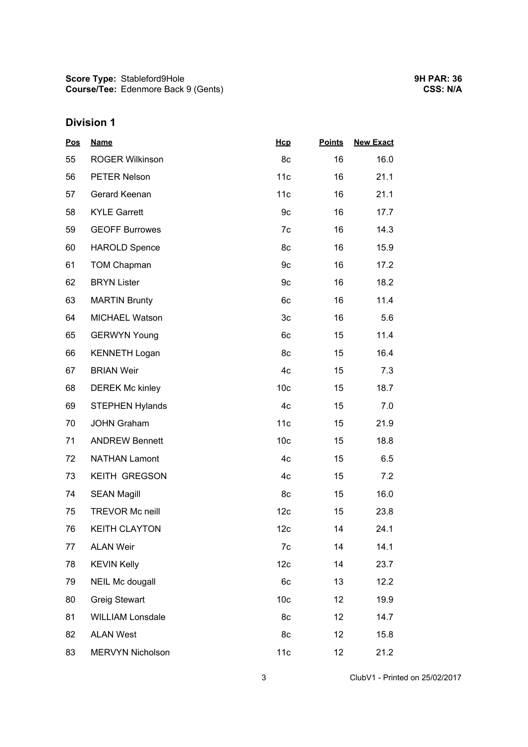## **Division 1**

| <b>Pos</b> | <b>Name</b>             | Hcp             | <b>Points</b> | <b>New Exact</b> |  |
|------------|-------------------------|-----------------|---------------|------------------|--|
| 55         | <b>ROGER Wilkinson</b>  | 8c              | 16            | 16.0             |  |
| 56         | PETER Nelson            | 11c             | 16            | 21.1             |  |
| 57         | Gerard Keenan           | 11c             | 16            | 21.1             |  |
| 58         | <b>KYLE Garrett</b>     | 9c              | 16            | 17.7             |  |
| 59         | <b>GEOFF Burrowes</b>   | 7c              | 16            | 14.3             |  |
| 60         | <b>HAROLD Spence</b>    | 8c              | 16            | 15.9             |  |
| 61         | <b>TOM Chapman</b>      | 9c              | 16            | 17.2             |  |
| 62         | <b>BRYN Lister</b>      | 9c              | 16            | 18.2             |  |
| 63         | <b>MARTIN Brunty</b>    | 6c              | 16            | 11.4             |  |
| 64         | MICHAEL Watson          | 3c              | 16            | 5.6              |  |
| 65         | <b>GERWYN Young</b>     | 6c              | 15            | 11.4             |  |
| 66         | <b>KENNETH Logan</b>    | 8c              | 15            | 16.4             |  |
| 67         | <b>BRIAN Weir</b>       | 4c              | 15            | 7.3              |  |
| 68         | <b>DEREK Mc kinley</b>  | 10 <sub>c</sub> | 15            | 18.7             |  |
| 69         | <b>STEPHEN Hylands</b>  | 4c              | 15            | 7.0              |  |
| 70         | <b>JOHN Graham</b>      | 11c             | 15            | 21.9             |  |
| 71         | <b>ANDREW Bennett</b>   | 10 <sub>c</sub> | 15            | 18.8             |  |
| 72         | <b>NATHAN Lamont</b>    | 4c              | 15            | 6.5              |  |
| 73         | KEITH GREGSON           | 4c              | 15            | 7.2              |  |
| 74         | <b>SEAN Magill</b>      | 8c              | 15            | 16.0             |  |
| 75         | <b>TREVOR Mc neill</b>  | 12 <sub>c</sub> | 15            | 23.8             |  |
| 76         | <b>KEITH CLAYTON</b>    | 12 <sub>c</sub> | 14            | 24.1             |  |
| 77         | <b>ALAN Weir</b>        | 7c              | 14            | 14.1             |  |
| 78         | <b>KEVIN Kelly</b>      | 12 <sub>c</sub> | 14            | 23.7             |  |
| 79         | NEIL Mc dougall         | 6c              | 13            | 12.2             |  |
| 80         | <b>Greig Stewart</b>    | 10 <sub>c</sub> | 12            | 19.9             |  |
| 81         | <b>WILLIAM Lonsdale</b> | 8c              | 12            | 14.7             |  |
| 82         | <b>ALAN West</b>        | 8c              | 12            | 15.8             |  |
| 83         | <b>MERVYN Nicholson</b> | 11c             | 12            | 21.2             |  |